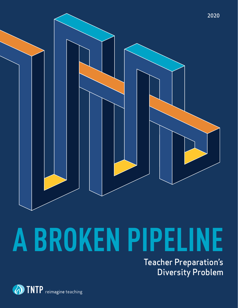

# **A BROKEN PIPELINE**

Teacher Preparation's Diversity Problem

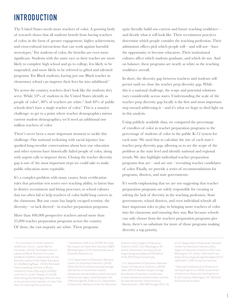# INTRODUCTION

The United States needs more teachers of color. A growing body of research shows that all students benefit from having teachers of color, in the form of greater engagement, higher achievement, and cross-cultural interactions that can work against harmful stereotypes.<sup>1</sup> For students of color, the benefits are even more significant. Students with the same race as their teacher are more likely to complete high school and go to college, less likely to be suspended, and more likely to be referred to gifted and talented programs. For Black students, having just one Black teacher in elementary school can improve their lives far into adulthood.<sup>2</sup>

Yet across the country, teachers don't look like the students they serve. While 53% of students in the United States identify as people of color<sup>3</sup>, 80% of teachers are white.<sup>4</sup> And 40% of public schools don't have a single teacher of color.<sup>5</sup> This is a massive challenge: to get to a point where teacher demographics mirror current student demographics, we'd need an additional one million teachers of color.

There's never been a more important moment to tackle this challenge. Our national reckoning with racial injustice has sparked long-overdue conversations about how our education and other systems have historically failed people of color, along with urgent calls to improve them. Closing the teacher diversity gap is one of the most important steps we could take to make public education more equitable.

It's a complex problem with many causes, from certification rules that prioritize test scores over teaching ability, to latent bias in district recruitment and hiring processes, to school cultures that too often fail to help teachers of color build long careers in the classroom. But one cause has largely escaped scrutiny: the diversity—or lack thereof—in teacher preparation programs.

More than 400,000 prospective teachers attend more than 25,000 teacher preparation programs across the country. Of those, the vast majority are white. These programs

quite literally build our current and future teaching workforce and decide what it will look like. Their recruitment practices determine which people consider the teaching profession. Their admissions offices pick which people will—and will not—have the opportunity to become educators. Their institutional cultures affect which students graduate, and which do not. And on balance, these programs are nearly as white as the teaching workforce overall.

In short, the diversity gap between teachers and students will persist until we close the teacher prep diversity gap. While this is a national challenge, the scope and potential solutions vary considerably across states. Understanding the scale of the teacher prep diversity gap locally is the first and most important step toward addressing it—and it's what we hope to shed light on in this analysis.

Using publicly available data, we compared the percentage of enrollees of color in teacher preparation programs to the percentage of students of color in the public K-12 system for each state. We used that to calculate the size of each state's teacher prep diversity gap, allowing us to see the scope of the problem at the state level and identify national and regional trends. We also highlight individual teacher preparation programs that are—and are not—recruiting teacher candidates of color. Finally, we provide a series of recommendations for programs, districts, and state governments.

It's worth emphasizing that we are not suggesting that teacher preparation programs are solely responsible for creating or solving the lack of diversity in the teaching profession. State governments, school districts, and even individual schools all have important roles to play in bringing more teachers of color into the classroom and ensuring they stay. But because schools can only choose from the teachers preparation programs give them, there's no substitute for more of those programs making diversity a top priority.

<sup>1</sup> For a summary of recent research, see Bristol, Travis J., Javier Martin-Fernandez. (2019). The Added Value of Latinx and Black Teachers for Latinx and Black Students: Implications for the Reauthorization of the Higher Education Act. (EdWorkingPaper: 19-93). Retrieved from Annenberg Institute at Brown University: https://doi.org/10.26300/ czw4-4v11; Carner-Thomas, D. (2018). Diversifying the teaching profession: How to recruit and retain teachers of color. Palo Alto, CA: Learning Policy Institute

2 Gershenson, Seth et al. (2018). The Long-Run Impacts of Same-Race Teachers, NBER Working Papers 25254, National Bureau of Economic Research, Inc.

3 U.S. Department of Education, National Center for Education Statistics. (2018). Table 203.50: Enrollment and percentage distribution of enrollment in public elementary and secondary schools, by race/ ethnicity and region: Selected years, fall 1995 through fall 2028. In U.S. Department of Education, National Center for Education

Statistics (Ed.), Digest of Education Statistics (2017 ed.). Washington, DC: Author. Retrieved from https://nces. ed.gov/programs/digest/d18/tables/ dt18\_203.50.asp?current=yes.

4 U.S. Department of Education, National Center for Education Statistics. (2018). Table 209.10: Number and percentage distribution of teachers in public and private elementary and secondary schools, by selected teacher characteristics: Selected years, 1987-88 through 2015-16. In U.S. Department of Education, National Center for Education Statistics (Ed.), Digest of Education Statistics (2017 ed.). Washington, DC: Author. Retrieved from https://nces.ed.gov/programs/digest/d17/ tables/dt17\_209.10.asp?current=yes

5 National Collaborative on Diversity in the Teaching Force. (2004). Assessment of diversity in America's teaching force: A call to action. Washington, DC: National Education Association.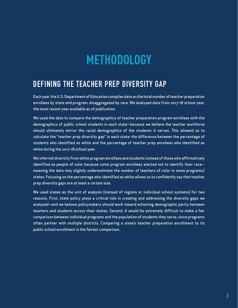# **METHODOLOGY**

# DEFINING THE TEACHER PREP DIVERSITY GAP

Each year, the U.S. Department of Education compiles data on the total number of teacher preparation enrollees by state and program, disaggregated by race. We analyzed data from 2017-18 school year, the most recent year available as of publication.

We used the data to compare the demographics of teacher preparation program enrollees with the demographics of public school students in each state—because we believe the teacher workforce should ultimately mirror the racial demographics of the students it serves. This allowed us to calculate the "teacher prep diversity gap" in each state: the difference between the percentage of students who identified as white and the percentage of teacher prep enrollees who identified as white during the 2017-18 school year.

We inferred diversity from white program enrollees and students instead of those who affirmatively identified as people of color because some program enrollees elected not to identify their race meaning the data may slightly underestimate the number of teachers of color in some programs/ states. Focusing on the percentage who identified as white allows us to confidently say that teacher prep diversity gaps are at least a certain size.

We used states as the unit of analysis (instead of regions or individual school systems) for two reasons. First, state policy plays a critical role in creating and addressing the diversity gaps we analyzed—and we believe policymakers should work toward achieving demographic parity between teachers and students across their states. Second, it would be extremely difficult to make a fair comparison between individual programs and the population of students they serve, since programs often partner with multiple districts. Comparing a state's teacher preparation enrollment to its public school enrollment is the fairest comparison.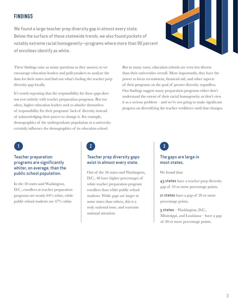# FINDINGS

We found a large teacher prep diversity gap in almost every state. Below the surface of those statewide trends, we also found pockets of notably extreme racial homogeneity—programs where more than 90 percent of enrollees identify as white.



These findings raise as many questions as they answer, so we encourage education leaders and policymakers to analyze the data for their states and find out what's fueling the teacher prep diversity gap locally.

It's worth repeating that the responsibility for these gaps does not rest entirely with teacher preparation programs. But too often, higher education leaders seek to absolve themselves of responsibility for their programs' lack of diversity instead of acknowledging their power to change it. For example, demographics of the undergraduate population at a university certainly influence the demographics of its education school.

But in many cases, education schools are even less diverse than their universities overall. More importantly, they have the power to focus recruitment, financial aid, and other aspects of their programs on the goal of greater diversity regardless. Our findings suggest many preparation programs either don't understand the extent of their racial homogeneity or don't view it as a serious problem—and we're not going to make significant progress on diversifying the teacher workforce until that changes.

# Teacher preparation programs are significantly whiter, on average, than the

In the 50 states and Washington, D.C., enrollees at teacher preparation programs are nearly 64% white, while public school students are 47% white.

# $\begin{array}{|c|c|c|c|c|}\n\hline\n1 & 3 & 3 \\
\hline\n\end{array}$

## Teacher prep diversity gaps exist in almost every state.

public school population.  $\qquad \qquad$  Out of the 50 states and Washington, D.C., 48 have higher percentages of white teacher preparation program enrollees than white public school students. While gaps are larger in some states than others, this is a truly national issue, and warrants national attention.

## The gaps are large in most states.

We found that:

43 states have a teacher prep diversity gap of 10 or more percentage points.

21 states have a gap of 20 or more percentage points.

3 states—Washington, D.C., Mississippi, and Louisiana—have a gap of 30 or more percentage points.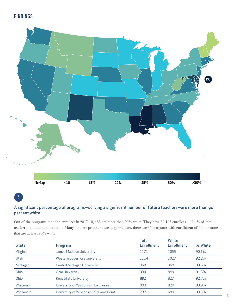# FINDINGS



# 4

## A significant percentage of programs—serving a significant number of future teachers—are more than 90 percent white.

Out of the programs that had enrollees in 2017-18, 455 are more than 90% white. They have 52,195 enrollees—11.4% of total teacher preparation enrollment. Many of these programs are large—in fact, there are 35 programs with enrollment of 400 or more that are at least 90% white.

| <b>State</b> | Program                                 | <b>Total</b><br><b>Enrollment</b> | White<br><b>Enrollment</b> | % White |
|--------------|-----------------------------------------|-----------------------------------|----------------------------|---------|
| Virginia     | James Madison University                | 1171                              | 1055                       | 90.1%   |
| <b>Utah</b>  | <b>Western Governors University</b>     | 1114                              | 1027                       | 92.2%   |
| Michigan     | <b>Central Michigan University</b>      | 958                               | 868                        | 90.6%   |
| Ohio         | <b>Ohio University</b>                  | 930                               | 849                        | 91.3%   |
| Ohio         | <b>Kent State University</b>            | 892                               | 827                        | 92.7%   |
| Wisconsin    | University of Wisconsin - La Crosse     | 883                               | 829                        | 93.9%   |
| Wisconsin    | University of Wisconsin - Stevens Point | 737                               | 689                        | 93.5%   |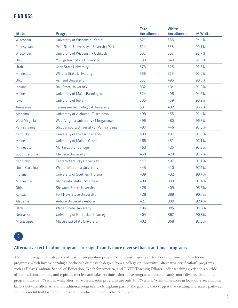# FINDINGS

| <b>State</b>         | Program                                   | <b>Total</b><br><b>Enrollment</b> | White<br><b>Enrollment</b> | % White |
|----------------------|-------------------------------------------|-----------------------------------|----------------------------|---------|
| Wisconsin            | University of Wisconsin - Stout           | 621                               | 586                        | 94.4%   |
| Pennsylvania         | Penn State University - University Park   | 614                               | 553                        | 90.1%   |
| Wisconsin            | University of Wisconsin - Oshkosh         | 601                               | 551                        | 91.7%   |
| Ohio                 | Youngstown State University               | 588                               | 540                        | 91.8%   |
| <b>Utah</b>          | <b>Utah State University</b>              | 573                               | 525                        | 91.6%   |
| Minnesota            | <b>Winona State University</b>            | 566                               | 515                        | 91.0%   |
| Ohio                 | <b>Ashland University</b>                 | 551                               | 496                        | 90.0%   |
| Indiana              | <b>Ball State University</b>              | 532                               | 484                        | 91.0%   |
| Maine                | University of Maine Farmington            | 524                               | 496                        | 94.7%   |
| lowa                 | University of Iowa                        | 505                               | 459                        | 90.9%   |
| <b>Tennessee</b>     | <b>Tennessee Technological University</b> | 501                               | 482                        | 96.2%   |
| Alabama              | University of Alabama - Tuscaloosa        | 498                               | 455                        | 91.4%   |
| <b>West Virginia</b> | West Virginia University - Morgantown     | 496                               | 480                        | 96.8%   |
| Pennsylvania         | Shippensburg University of Pennsylvania   | 487                               | 446                        | 91.6%   |
| Kentucky             | University of the Cumberlands             | 480                               | 437                        | 91.0%   |
| Maine                | University of Maine - Orono               | 468                               | 431                        | 92.1%   |
| Minnesota            | Martin Luther College                     | 463                               | 425                        | 91.8%   |
| South Carolina       | <b>Clemson University</b>                 | 458                               | 420                        | 91.7%   |
| Kentucky             | Eastern Kentucky University               | 447                               | 407                        | 91.1%   |
| North Carolina       | <b>Western Carolina University</b>        | 443                               | 410                        | 92.6%   |
| Indiana              | University of Southern Indiana            | 439                               | 432                        | 98.4%   |
| Minnesota            | Minnesota State - Moorhead                | 430                               | 393                        | 91.4%   |
| Ohio                 | <b>Shawnee State University</b>           | 428                               | 409                        | 95.6%   |
| Kansas               | Fort Hays State University                | 428                               | 388                        | 90.7%   |
| Alabama              | Auburn University Auburn                  | 421                               | 389                        | 92.4%   |
| Utah                 | <b>Weber State University</b>             | 406                               | 385                        | 94.8%   |
| Nebraska             | University of Nebraska - Kearney          | 404                               | 367                        | 90.8%   |
| Mississippi          | Mississippi State University              | 402                               | 368                        | 91.5%   |

5

## Alternative certification programs are significantly more diverse than traditional programs.

There are two general categories of teacher preparation programs. The vast majority of teachers are trained in "traditional" programs, which involve earning a bachelor's or master's degree from a college or university. "Alternative certification" programs such as Relay Graduate School of Education, Teach for America, and TNTP Teaching Fellows—offer teaching credentials outside of the traditional model, and typically cost less and take less time. Alternative programs are significantly more diverse. Traditional programs are 69.6% white, while alternative certification programs are only 46.8% white. While differences in location, size, and other factors between alternative and traditional programs likely explains part of the gap, the data suggest that creating alternative pathways can be a useful tool for states interested in producing more teachers of color.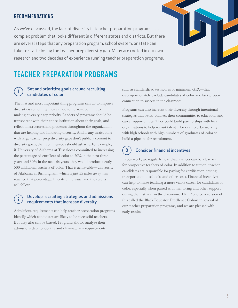# RECOMMENDATIONS

As we've discussed, the lack of diversity in teacher preparation programs is a complex problem that looks different in different states and districts. But there are several steps that any preparation program, school system, or state can take to start closing the teacher prep diversity gap. Many are rooted in our own research and two decades of experience running teacher preparation programs.



# TEACHER PREPARATION PROGRAMS

#### Set and prioritize goals around recruiting candidates of color. 1

The first and most important thing programs can do to improve diversity is something they can do tomorrow: commit to making diversity a top priority. Leaders of programs should be transparent with their entire institution about their goals, and reflect on structures and processes throughout the organization that are helping and hindering diversity. And if any institutions with large teacher prep diversity gaps don't publicly commit to diversity goals, their communities should ask why. For example, if University of Alabama at Tuscaloosa committed to increasing the percentage of enrollees of color to 20% in the next three years and 30% in the next six years, they would produce nearly 500 additional teachers of color. That is achievable—University of Alabama at Birmingham, which is just 55 miles away, has reached that percentage. Prioritize the issue, and the results will follow.

#### Develop recruiting strategies and admissions requirements that increase diversity. 2

Admissions requirements can help teacher preparation programs identify which candidates are likely to be successful teachers. But they also can be biased. Programs should analyze their admissions data to identify and eliminate any requirementssuch as standardized test scores or minimum GPA—that disproportionately exclude candidates of color and lack proven connection to success in the classroom.

Programs can also increase their diversity through intentional strategies that better connect their communities to education and career opportunities. They could build partnerships with local organizations to help recruit talent—for example, by working with high schools with high numbers of graduates of color to build a pipeline for recruitment.

#### Consider financial incentives. 3

In our work, we regularly hear that finances can be a barrier for prospective teachers of color. In addition to tuition, teacher candidates are responsible for paying for certification, testing, transportation to schools, and other costs. Financial incentives can help to make teaching a more viable career for candidates of color, especially when paired with mentoring and other support during the first year in the classroom. TNTP piloted a version of this called the Black Educator Excellence Cohort in several of our teacher preparation programs, and we are pleased with early results.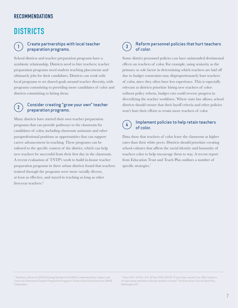## RECOMMENDATIONS

# **DISTRICTS**

## $\overline{1}$  Create partnerships with local teacher  $\overline{3}$ preparation programs.

School districts and teacher preparation programs have a symbiotic relationship. Districts need to hire teachers; teacher preparation programs need student teaching placements and ultimately jobs for their candidates. Districts can work with local programs to set shared goals around teacher diversity, with programs committing to providing more candidates of color and districts committing to hiring them.

#### Consider creating "grow your own" teacher preparation programs. 2

Many districts have started their own teacher preparation programs that can provide pathways to the classroom for candidates of color, including classroom assistants and other paraprofessional positions as opportunities that can support career advancement in teaching. These programs can be tailored to the specific context of the district, which can help new teachers be successful from their first day in the classroom. A recent evaluation of TNTP's work to build in-house teacher preparation programs in three urban districts found that teachers trained through the programs were more racially diverse, at least as effective, and stayed in teaching as long as other first-year teachers.<sup>6</sup>

### Reform personnel policies that hurt teachers of color.

Some district personnel policies can have unintended detrimental effects on teachers of color. For example, using seniority as the primary or sole factor in determining which teachers are laid off due to budget constraints may disproportionately hurt teachers of color, since they often have less experience. This is especially relevant as districts prioritize hiring new teachers of color: without policy reform, budget cuts could reverse progress in diversifying the teacher workforce. Where state law allows, school districts should ensure that their layoff criteria and other policies won't hurt their efforts to retain more teachers of color.

#### Implement policies to help retain teachers of color. 4

Data show that teachers of color leave the classroom at higher rates than their white peers. Districts should prioritize creating school cultures that affirm the racial identity and humanity of teachers color to help encourage them to stay. A recent report from Education Trust and Teach Plus outlines a number of specific strategies.<sup>7</sup>

<sup>6</sup> Kaufman, Julia et al. (2020) Growing Teachers from Within: Implementation, Impact, and Cost of an Alternative Teacher Preparation Program in Three Urban School Districts. RAND Corporation.

 $^7$  Dixon, R.D., Griffin, A.R., & Teoh, M.B. (2019). "If you listen, we will stay: Why teachers of color leave and how to disrupt teacher turnover.", The Education Trust & Teach Plus, Washington DC.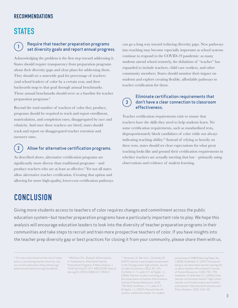# RECOMMENDATIONS

# **STATES**

#### Require that teacher preparation programs set diversity goals and report annual progress. 1

Acknowledging the problem is the first step toward addressing it. States should require transparency from preparation programs about their diversity gaps and clear plans for addressing them. They should set a statewide goal for percentage of teachers (and school leaders) of color by a certain year, and then backwards map to that goal through annual benchmarks. Those annual benchmarks should serve as a baseline for teacher preparation programs.<sup>8</sup>

Beyond the total number of teachers of color they produce, programs should be required to track and report enrollment, matriculation, and completion rates, disaggregated by race and ethnicity. And once these teachers are hired, states should track and report on disaggregated teacher retention and turnover rates.

#### Allow for alternative certification programs.  $\binom{2}{}$

As described above, alternative certification programs are significantly more diverse than traditional programs—and produce teachers who are at least as effective.<sup>9</sup> Yet not all states allow alternative teacher certification. Creating that option and allowing for more high-quality, lower-cost certification pathways can go a long way toward reducing diversity gaps. New pathways into teaching may become especially important as school systems continue to respond to the COVID-19 pandemic: as many students attend school remotely, the definition of "teacher" has expanded to include teachers, child care workers, and other community members. States should monitor their impact on students and explore creating flexible, affordable pathways to teacher certification for them.

#### Eliminate certification requirements that don't have a clear connection to classroom effectiveness. 3

Teacher certification requirements exist to ensure that teachers have the skills they need to help students learn. Yet some certification requirements, such as standardized tests, disproportionately block candidates of color while not always indicating teaching ability.10 Instead of relying so heavily on these tests, states should set clear expectations for what great teaching looks like and ground their certification requirements in whether teachers are actually meeting that bar—primarily using observations and evidence of student learning.

# CONCLUSION

Giving more students access to teachers of color requires changes and commitment across the public education system—but teacher preparation programs have a particularly important role to play. We hope this analysis will encourage education leaders to look into the diversity of teacher preparation programs in their communities and take steps to recruit and train more prospective teachers of color. If you have insights into the teacher prep diversity gap or best practices for closing it from your community, please share them with us.

8 For more information on the role of state policy in promoting teacher diversity, see our recent publication: https://tntp.org/ publications/view/a-strong-foundation

9 Whitford, D.K., Zhang, D. & Katsiyannis, A. Traditional vs. Alternative Teacher Preparation Programs: A Meta-Analysis. J Child Fam Stud 27, 671–685 (2018). https:// doi.org/10.1007/s10826-017-0932-0

10 Aaronson, D., Barrow, L., & Sander, W. (2007). Teachers and student achievement in the Chicago public high schools. Journal of Labor Economics, 25(1), 95–135; Clotfelter, C. T., Ladd, H. F., & Vigdor, J. L. (2006). Teacher-student matching and the assessment of teacher effectiveness. Journal of Human Resources, 41(4), 778–820; Clotfelter, C. T., Ladd, H. F., & Vigdor, J. L. (2007). How and why do teacher credentials matter for student

achievement? (NBER Working Paper No. 12828); Goldhaber, D. (2007). Everyone's doing it, but what does teacher testing tell us about teacher effectiveness? Journal of Human Resources, 42(4), 765–794; Goldhaber, D. & Brewer, D. J. (2000). Does teacher certification matter? High school teacher certification status and student achievement. Educational Evaluation and Policy Analysis, 22(2), 129-145.